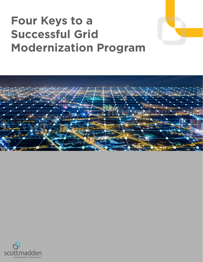# **Four Keys to a Successful Grid Modernization Program**



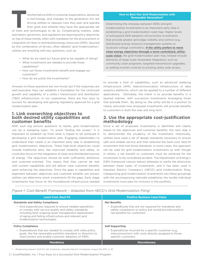Transformative shifts in customer expectations, advances<br>
in technology, and changes to the generation mix are<br>
driving utilities to reassess how they plan and operate<br>
their grids and whether they have the appropriate set in technology, and changes to the generation mix are driving utilities to reassess how they plan and operate their grids and whether they have the appropriate set lawmakers, governors, and regulators are layering policy objectives on top of these trends, often with mandates for the procurement or integration of clean or distributed energy resources (DER). Spurred by this combination of drivers, often labeled "grid modernization," utilities are wrestling with key questions, such as:

- What do we need our future grid to be capable of doing?
- What investments are needed to provide those capabilities?
- How can those investments benefit and engage our customers?
- How do we justify the investments?

Answers to these questions are non-trivial, but if the responses are well-executed, they can establish a foundation for the continued growth and capability of a utility's transmission and distribution (T&D) infrastructure. In our experience, there are four keys to success for developing and gaining regulatory approval for a grid modernization plan:

#### **1. Link overarching objectives to both desired utility capabilities and customer benefits**

With such big picture questions to tackle, grid modernization can be a sweeping topic. To avoid "boiling the ocean," it is important to establish up front what is hoped to be achieved in developing a grid modernization plan. Engaging stakeholders to understand their needs is an important early step in establishing grid modernization objectives. These high-level objectives could include traditional aims, like improved reliability and safety, or could also focus on the integration of clean and distributed sources of energy. The objectives should be both sufficiently ambitious and customer-oriented. This means that they cannot be met with current capabilities and will deliver clear customer benefits upon achieving the objectives. Once the gaps in capabilities and alignment between objectives and customer benefits are known, utilities can determine which investments fill the gaps. Early stage investments may focus on the foundational infrastructure needed

#### **How to Best Pair Grid Modernization with Renewable Generation?**

Determining the interplay between DERs and grid modernization investments is an important early step in establishing a grid modernization road map. Higher levels of anticipated DER adoption will prioritize investments that provide greater grid edge visibility and control (e.g., distributed energy resource management systems or localized voltage controllers). **[If the utility prefers to meet](https://www.scottmadden.com/insight/shaping-a-path-toward-high-renewable-penetration-a-comparison-of-utility-scale-and-distributed-renewables/)  [clean energy objectives through a more centralized, utility](https://www.scottmadden.com/insight/shaping-a-path-toward-high-renewable-penetration-a-comparison-of-utility-scale-and-distributed-renewables/)[scale vision](https://www.scottmadden.com/insight/shaping-a-path-toward-high-renewable-penetration-a-comparison-of-utility-scale-and-distributed-renewables/)**, the grid modernization plan may instead include elements of large-scale renewable integration, such as community solar programs, targeted transmission upgrades, or adding inverter controls to existing utility solar arrays.

to provide a host of capabilities, such as advanced metering infrastructure (AMI), telecommunication infrastructure, or data analytics platforms, which can be applied to a number of different applications. Ultimately, the intent is to provide benefits in a layered manner, with successive investments leveraging those that precede them. By doing so, the utility will be in a position to clearly articulate how proposed investments will provide benefits to customers in both the near and long term.

#### **2. Use the appropriate cost-justification methodology**

Once a set of proposed investments is identified and clearly linked to the objectives and customer benefits, the next step is to demonstrate the prudency of the investment. Historically, utilities have used a set of design standards necessary to ensure safe and reliable service and then selected the least-cost, best-fit investment that met those standards. In some cases, this approach can be used for grid modernization investments as well; though in others, a net benefit to customers must be achieved for the investment to be considered prudent. The Department of Energy's DSPx framework (shown below) attempts to clarify the distinction between these types of investments, and it has been used in Hawaiian Electric Company's (HECO) grid modernization filing. Categorizing grid modernization investments into these groupings with the accompanying rationale establishes the hurdle individual investments must pass for inclusion in the portfolio.

*Figure 1: Cost-Benefit Framework – Adapted from HECO's Grid Modernization Filing<sup>1</sup>*

| <b>Least-Cost, Best-Fit</b>                                                                                                                                                                                                                                      | <b>Positive Business Case/Value</b>                                                                                                            |
|------------------------------------------------------------------------------------------------------------------------------------------------------------------------------------------------------------------------------------------------------------------|------------------------------------------------------------------------------------------------------------------------------------------------|
| <b>Standards and Safety Compliance</b>                                                                                                                                                                                                                           | <b>Net Benefits</b>                                                                                                                            |
| • Grid expenditures required to ensure reliable operations<br>or comply with service quality and safety standards,<br>including both ongoing asset management replacement<br>of aging and failing infrastructure and relevant grid<br>modernization technologies | • Expenditures that are not required for standards and<br>safety compliance or policy but would provide positive<br>net benefits for customers |
| <b>Policy Compliance</b>                                                                                                                                                                                                                                         | <b>Self-Supporting</b>                                                                                                                         |
| • Expenditures that are needed to comply with state policy<br>goals, like the renewable portfolio standard, or direction to<br>interconnect and enable customer adoption of DERs                                                                                 | • Expenditures incurred for a specific customer (e.g.,<br>interconnection) with costs directly assigned to those<br>specific customers         |
| <b>Mandatory</b>                                                                                                                                                                                                                                                 | <b>Discretionary</b>                                                                                                                           |

1. *Modernizing Hawaii's Grid For Our Customer*s, Hawaiian Electric Companies, August 29, 2017, p. 42

2 | ScottMadden, Inc. | Four Keys to a Successful Grid Modernization Program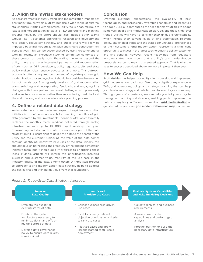# **3. Align the myriad stakeholders**

As a transformative industry trend, grid modernization impacts not only many groups within a utility, but also a wide range of external stakeholders. Starting with an internal utility focus, a natural group to lead a grid modernization initiative is T&D operations and planning groups; however, the effort should also include other teams. Groups like IT, customer operations, research and development, rate design, regulatory strategy, and public affairs will likely be impacted by a grid modernization plan and should contribute their perspectives. This can be accomplished by using cross-functional working teams, an executive steering committee comprised of these groups, or ideally both. Expanding the focus beyond the utility, there are many interested parties in grid modernization efforts, such as DER developers, utility regulators, city and state policy makers, clean energy advocates, and more. This outreach process is often a required component of regulatory-driven grid modernization proceedings, but it should be considered even when it's not mandatory. Sharing early versions of grid modernization plans, soliciting and incorporating feedback, and engaging in a dialogue with these parties can reveal challenges with plans early and in an iterative manner, rather than encountering road blocks at the end of a long and resource-intensive planning process.

#### **4. Define a related data strategy**

An important and often overlooked aspect of a grid modernization initiative is to define an approach for handling the influx of grid data generated by the investments—consider AMI, which typically replaces the monthly meter readings collected through analog infrastructure with up to 105,000 digital readings per year. Transmitting and storing this data is a necessary part of the data strategy, but it is insufficient to utilize the data to the benefit of the utility and the customer. Unlocking the value of the data comes through identifying innovative new uses of the data. Initially, this should focus on harnessing the creativity of the grid modernization initiative team, but it should quickly progress to prioritizing these ideas. Multiple aspects will inform this prioritization, including business and customer value, maturity of the use case in the industry, quality of the data, among others. A three-step process to approach a grid modernization data strategy helps to address the basics first and then builds value from that foundation.

## **Conclusion**

Evolving customer expectations, the availability of new technologies, and increasingly favorable economics and incentives to adopt DERs all contribute to the need for many utilities to adopt some version of a grid modernization plan. Beyond these high-level trends, utilities will have to consider their unique circumstances, which include their current levels of grid automation, relevant policy, stakeholder input, and the stated (or unstated) preferences of their customers. Grid modernization represents a significant opportunity to invest in the latest technologies to deliver customer and grid benefits. However, recent headwinds from regulators in some states have shown that a utility's grid modernization proposals are by no means guaranteed approval. That is why the keys to success described above are more important than ever.

#### **How We Can Help**

ScottMadden has helped our utility clients develop and implement grid modernization road maps. We bring a depth of experience in T&D, grid operations, policy, and strategic planning that can help you develop a strategy and detailed plan tailored to your company. Through years of experience, we can help you tell your story to the regulator and key stakeholders, enabling you to implement the right strategy for you. To learn more about **[grid modernization](https://www.scottmadden.com/topic/grid-modernization/)** or get started on your own **[grid modernization road map](https://www.scottmadden.com/wp-content/uploads/2019/08/ScottMadden_Grid_Modernization_Road-Map.pdf)**, [contact us](https://www.scottmadden.com/contact-us/).

#### *Figure 2: Three-Step Data Strategy Approach*